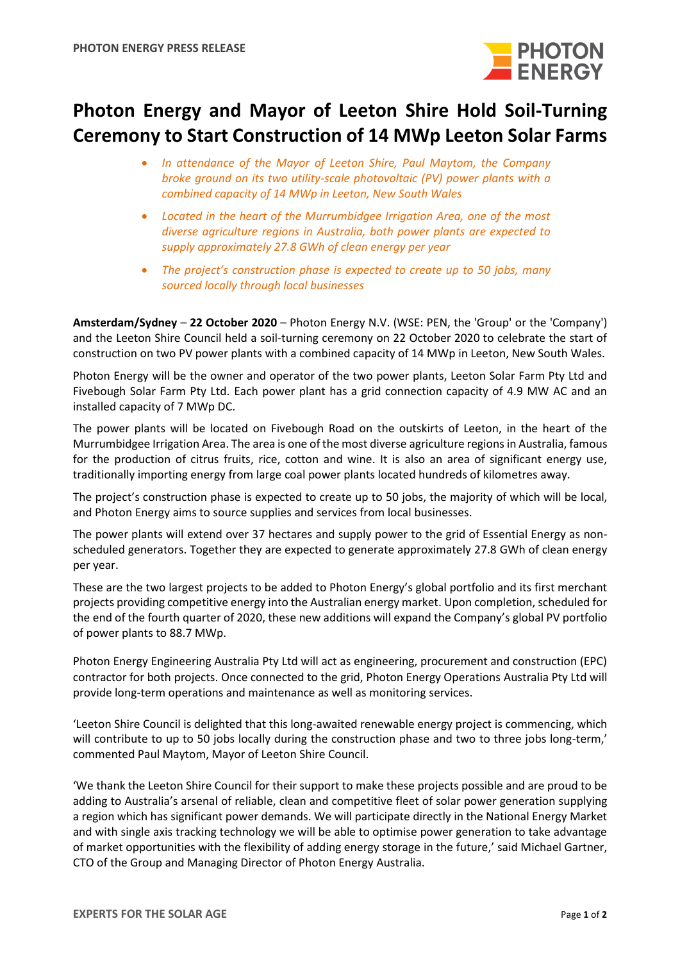

## **Photon Energy and Mayor of Leeton Shire Hold Soil-Turning Ceremony to Start Construction of 14 MWp Leeton Solar Farms**

- *In attendance of the Mayor of Leeton Shire, Paul Maytom, the Company broke ground on its two utility-scale photovoltaic (PV) power plants with a combined capacity of 14 MWp in Leeton, New South Wales*
- *Located in the heart of the Murrumbidgee Irrigation Area, one of the most diverse agriculture regions in Australia, both power plants are expected to supply approximately 27.8 GWh of clean energy per year*
- *The project's construction phase is expected to create up to 50 jobs, many sourced locally through local businesses*

**Amsterdam/Sydney** – **22 October 2020** – Photon Energy N.V. (WSE: PEN, the 'Group' or the 'Company') and the Leeton Shire Council held a soil-turning ceremony on 22 October 2020 to celebrate the start of construction on two PV power plants with a combined capacity of 14 MWp in Leeton, New South Wales.

Photon Energy will be the owner and operator of the two power plants, Leeton Solar Farm Pty Ltd and Fivebough Solar Farm Pty Ltd. Each power plant has a grid connection capacity of 4.9 MW AC and an installed capacity of 7 MWp DC.

The power plants will be located on Fivebough Road on the outskirts of Leeton, in the heart of the Murrumbidgee Irrigation Area. The area is one of the most diverse agriculture regions in Australia, famous for the production of citrus fruits, rice, cotton and wine. It is also an area of significant energy use, traditionally importing energy from large coal power plants located hundreds of kilometres away.

The project's construction phase is expected to create up to 50 jobs, the majority of which will be local, and Photon Energy aims to source supplies and services from local businesses.

The power plants will extend over 37 hectares and supply power to the grid of Essential Energy as nonscheduled generators. Together they are expected to generate approximately 27.8 GWh of clean energy per year.

These are the two largest projects to be added to Photon Energy's global portfolio and its first merchant projects providing competitive energy into the Australian energy market. Upon completion, scheduled for the end of the fourth quarter of 2020, these new additions will expand the Company's global PV portfolio of power plants to 88.7 MWp.

Photon Energy Engineering Australia Pty Ltd will act as engineering, procurement and construction (EPC) contractor for both projects. Once connected to the grid, Photon Energy Operations Australia Pty Ltd will provide long-term operations and maintenance as well as monitoring services.

'Leeton Shire Council is delighted that this long-awaited renewable energy project is commencing, which will contribute to up to 50 jobs locally during the construction phase and two to three jobs long-term,' commented Paul Maytom, Mayor of Leeton Shire Council.

'We thank the Leeton Shire Council for their support to make these projects possible and are proud to be adding to Australia's arsenal of reliable, clean and competitive fleet of solar power generation supplying a region which has significant power demands. We will participate directly in the National Energy Market and with single axis tracking technology we will be able to optimise power generation to take advantage of market opportunities with the flexibility of adding energy storage in the future,' said Michael Gartner, CTO of the Group and Managing Director of Photon Energy Australia.